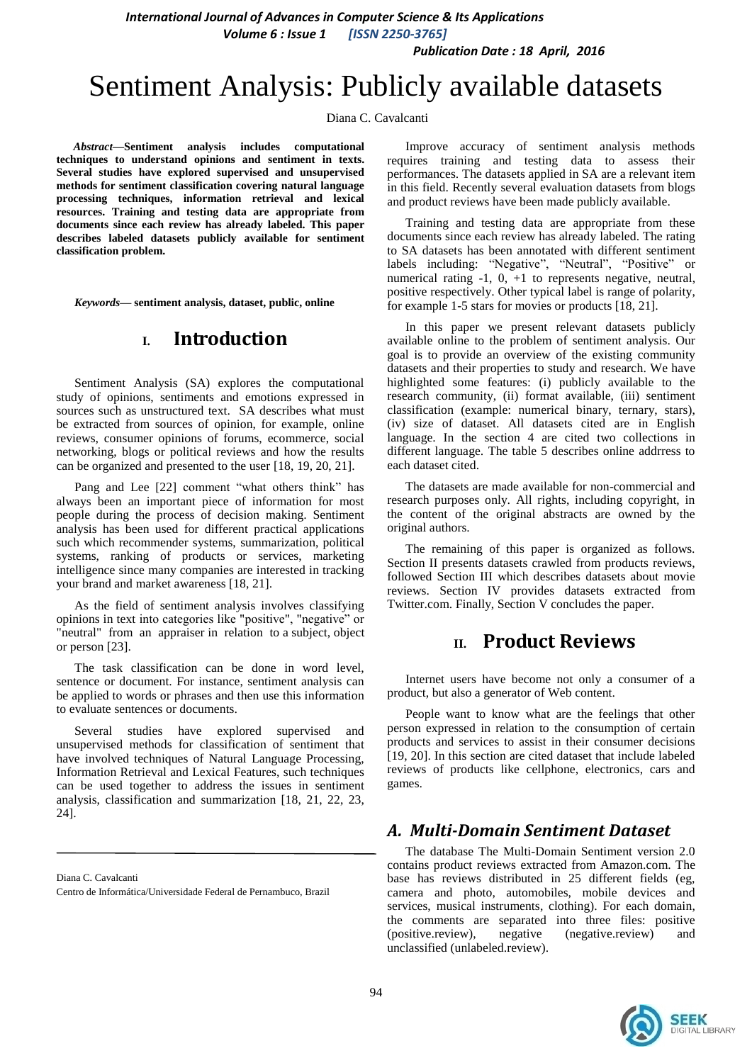*Publication Date : 18 April, 2016*

# Sentiment Analysis: Publicly available datasets

Diana C. Cavalcanti

*Abstract***—Sentiment analysis includes computational techniques to understand opinions and sentiment in texts. Several studies have explored supervised and unsupervised methods for sentiment classification covering natural language processing techniques, information retrieval and lexical resources. Training and testing data are appropriate from documents since each review has already labeled. This paper describes labeled datasets publicly available for sentiment classification problem.**

*Keywords—* **sentiment analysis, dataset, public, online**

# **I. Introduction**

Sentiment Analysis (SA) explores the computational study of opinions, sentiments and emotions expressed in sources such as unstructured text. SA describes what must be extracted from sources of opinion, for example, online reviews, consumer opinions of forums, ecommerce, social networking, blogs or political reviews and how the results can be organized and presented to the user [18, 19, 20, 21].

Pang and Lee [22] comment "what others think" has always been an important piece of information for most people during the process of decision making. Sentiment analysis has been used for different practical applications such which recommender systems, summarization, political systems, ranking of products or services, marketing intelligence since many companies are interested in tracking your brand and market awareness [18, 21].

As the field of sentiment analysis involves classifying opinions in text into categories like "positive", "negative" or "neutral" from an appraiser in relation to a subject, object or person [23].

The task classification can be done in word level, sentence or document. For instance, sentiment analysis can be applied to words or phrases and then use this information to evaluate sentences or documents.

Several studies have explored supervised and unsupervised methods for classification of sentiment that have involved techniques of Natural Language Processing, Information Retrieval and Lexical Features, such techniques can be used together to address the issues in sentiment analysis, classification and summarization [18, 21, 22, 23, 24].

Diana C. Cavalcanti

Centro de Informática/Universidade Federal de Pernambuco, Brazil

Improve accuracy of sentiment analysis methods requires training and testing data to assess their performances. The datasets applied in SA are a relevant item in this field. Recently several evaluation datasets from blogs and product reviews have been made publicly available.

Training and testing data are appropriate from these documents since each review has already labeled. The rating to SA datasets has been annotated with different sentiment labels including: "Negative", "Neutral", "Positive" or numerical rating -1, 0, +1 to represents negative, neutral, positive respectively. Other typical label is range of polarity, for example 1-5 stars for movies or products [18, 21].

In this paper we present relevant datasets publicly available online to the problem of sentiment analysis. Our goal is to provide an overview of the existing community datasets and their properties to study and research. We have highlighted some features: (i) publicly available to the research community, (ii) format available, (iii) sentiment classification (example: numerical binary, ternary, stars), (iv) size of dataset. All datasets cited are in English language. In the section 4 are cited two collections in different language. The table 5 describes online addrress to each dataset cited.

The datasets are made available for non-commercial and research purposes only. All rights, including copyright, in the content of the original abstracts are owned by the original authors.

The remaining of this paper is organized as follows. Section II presents datasets crawled from products reviews, followed Section III which describes datasets about movie reviews. Section IV provides datasets extracted from Twitter.com. Finally, Section V concludes the paper.

# **II. Product Reviews**

Internet users have become not only a consumer of a product, but also a generator of Web content.

People want to know what are the feelings that other person expressed in relation to the consumption of certain products and services to assist in their consumer decisions [19, 20]. In this section are cited dataset that include labeled reviews of products like cellphone, electronics, cars and games.

## *A. Multi-Domain Sentiment Dataset*

The database The Multi-Domain Sentiment version 2.0 contains product reviews extracted from Amazon.com. The base has reviews distributed in 25 different fields (eg, camera and photo, automobiles, mobile devices and services, musical instruments, clothing). For each domain, the comments are separated into three files: positive (positive.review), negative (negative.review) and unclassified (unlabeled.review).

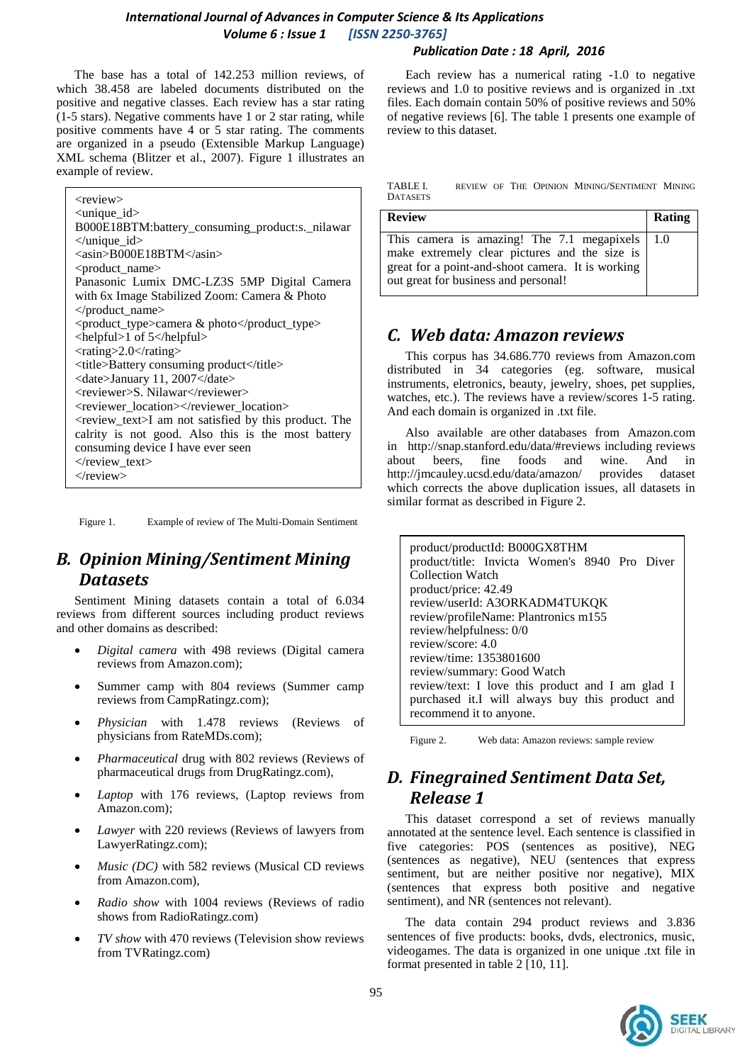The base has a total of 142.253 million reviews, of which 38.458 are labeled documents distributed on the positive and negative classes. Each review has a star rating (1-5 stars). Negative comments have 1 or 2 star rating, while positive comments have 4 or 5 star rating. The comments are organized in a pseudo (Extensible Markup Language) XML schema (Blitzer et al., 2007). Figure 1 illustrates an example of review.

<review> <unique\_id> B000E18BTM:battery\_consuming\_product:s.\_nilawar </unique\_id> <asin>B000E18BTM</asin> <product\_name> Panasonic Lumix DMC-LZ3S 5MP Digital Camera with 6x Image Stabilized Zoom: Camera & Photo </product\_name> <product\_type>camera & photo</product\_type>  $\langle$ helpful>1 of 5 $\langle$ helpful> <rating>2.0</rating> <title>Battery consuming product</title> <date>January 11, 2007</date> <reviewer>S. Nilawar</reviewer> <reviewer\_location></reviewer\_location> <review\_text>I am not satisfied by this product. The calrity is not good. Also this is the most battery consuming device I have ever seen  $\langle$ review text $>$ </review>

Figure 1. Example of review of The Multi-Domain Sentiment

# *B. Opinion Mining/Sentiment Mining Datasets*

Sentiment Mining datasets contain a total of 6.034 reviews from different sources including product reviews and other domains as described:

- *Digital camera* with 498 reviews (Digital camera reviews from Amazon.com);
- Summer camp with 804 reviews (Summer camp reviews from CampRatingz.com);
- *Physician* with 1.478 reviews (Reviews of physicians from RateMDs.com);
- *Pharmaceutical* drug with 802 reviews (Reviews of pharmaceutical drugs from DrugRatingz.com),
- *Laptop* with 176 reviews, (Laptop reviews from Amazon.com);
- *Lawyer* with 220 reviews (Reviews of lawyers from LawyerRatingz.com);
- *Music (DC)* with 582 reviews (Musical CD reviews from Amazon.com),
- *Radio show* with 1004 reviews (Reviews of radio shows from RadioRatingz.com)
- *TV show* with 470 reviews (Television show reviews from TVRatingz.com)

#### *Publication Date : 18 April, 2016*

Each review has a numerical rating -1.0 to negative reviews and 1.0 to positive reviews and is organized in .txt files. Each domain contain 50% of positive reviews and 50% of negative reviews [6]. The table 1 presents one example of review to this dataset.

| TABLE I.        |  |  | REVIEW OF THE OPINION MINING/SENTIMENT MINING |  |
|-----------------|--|--|-----------------------------------------------|--|
| <b>DATASETS</b> |  |  |                                               |  |

| <b>Review</b>                                                                                                                                                                                       | <b>Rating</b> |
|-----------------------------------------------------------------------------------------------------------------------------------------------------------------------------------------------------|---------------|
| This camera is amazing! The 7.1 megapixels $\mid$ 1.0<br>make extremely clear pictures and the size is<br>great for a point-and-shoot camera. It is working<br>out great for business and personal! |               |

# *C. Web data: Amazon reviews*

This corpus has 34.686.770 reviews from Amazon.com distributed in 34 categories (eg. software, musical instruments, eletronics, beauty, jewelry, shoes, pet supplies, watches, etc.). The reviews have a review/scores 1-5 rating. And each domain is organized in .txt file.

Also available are other databases from Amazon.com in <http://snap.stanford.edu/data/#reviews> including reviews about beers, fine foods and wine. And in <http://jmcauley.ucsd.edu/data/amazon/> provides dataset which corrects the above duplication issues, all datasets in similar format as described in Figure 2.

product/productId: B000GX8THM product/title: Invicta Women's 8940 Pro Diver Collection Watch product/price: 42.49 review/userId: A3ORKADM4TUKQK review/profileName: Plantronics m155 review/helpfulness: 0/0 review/score: 4.0 review/time: 1353801600 review/summary: Good Watch review/text: I love this product and I am glad I purchased it.I will always buy this product and recommend it to anyone.

Figure 2. Web data: Amazon reviews: sample review

# *D. Finegrained Sentiment Data Set, Release 1*

This dataset correspond a set of reviews manually annotated at the sentence level. Each sentence is classified in five categories: POS (sentences as positive), NEG (sentences as negative), NEU (sentences that express sentiment, but are neither positive nor negative), MIX (sentences that express both positive and negative sentiment), and NR (sentences not relevant).

The data contain 294 product reviews and 3.836 sentences of five products: books, dvds, electronics, music, videogames. The data is organized in one unique .txt file in format presented in table 2 [10, 11].

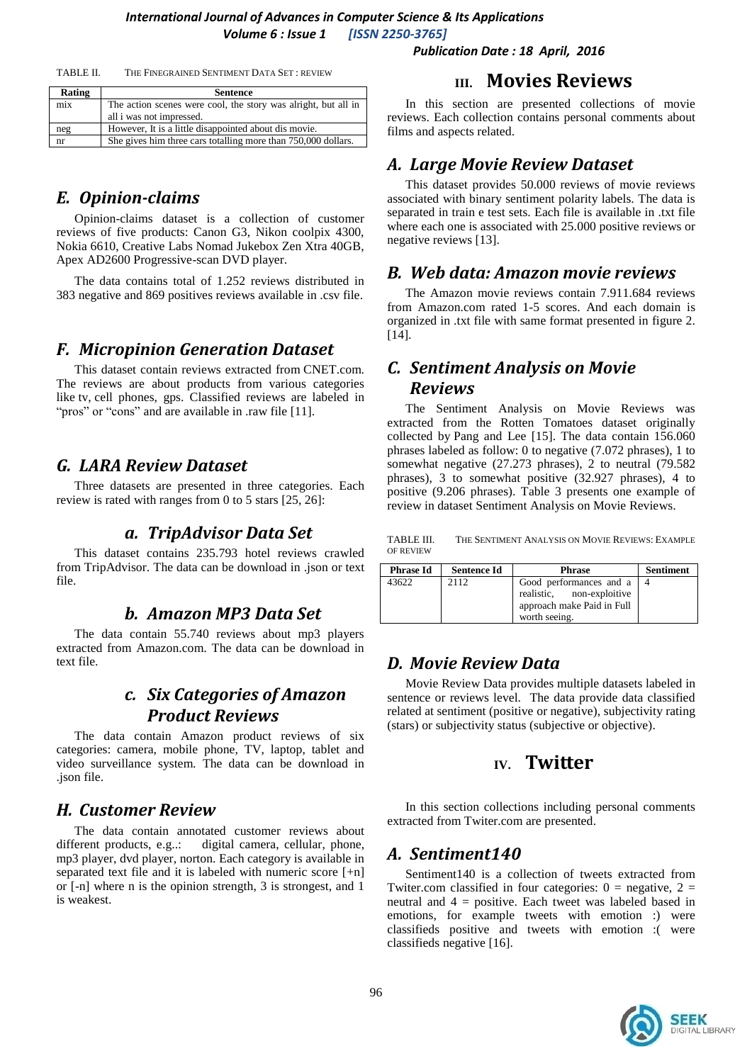*Publication Date : 18 April, 2016*

| THE FINEGRAINED SENTIMENT DATA SET: REVIEW<br>TABLE II. |
|---------------------------------------------------------|
|---------------------------------------------------------|

| Rating | <b>Sentence</b>                                                                            |
|--------|--------------------------------------------------------------------------------------------|
| mix    | The action scenes were cool, the story was alright, but all in<br>all i was not impressed. |
| neg    | However, It is a little disappointed about dis movie.                                      |
| nr     | She gives him three cars totalling more than 750,000 dollars.                              |

## *E. Opinion-claims*

Opinion-claims dataset is a collection of customer reviews of five products: Canon G3, Nikon coolpix 4300, Nokia 6610, Creative Labs Nomad Jukebox Zen Xtra 40GB, Apex AD2600 Progressive-scan DVD player.

The data contains total of 1.252 reviews distributed in 383 negative and 869 positives reviews available in .csv file.

#### *F. Micropinion Generation Dataset*

This dataset contain reviews extracted from [CNET.](http://www.cnet.com/)com. The reviews are about products from various categories like tv, cell phones, gps. Classified reviews are labeled in "pros" or "cons" and are available in .raw file [11].

## *G. LARA Review Dataset*

Three datasets are presented in three categories. Each review is rated with ranges from 0 to 5 stars [25, 26]:

#### *a. TripAdvisor Data Set*

This dataset contains 235.793 hotel reviews crawled from TripAdvisor. The data can be download in .json or text file.

### *b. Amazon MP3 Data Set*

The data contain 55.740 reviews about mp3 players extracted from Amazon.com. The data can be download in text file.

# *c. Six Categories of Amazon Product Reviews*

The data contain Amazon product reviews of six categories: camera, mobile phone, TV, laptop, tablet and video surveillance system. The data can be download in .json file.

## *H. Customer Review*

The data contain annotated customer reviews about different products, e.g..: digital camera, cellular, phone, mp3 player, dvd player, norton. Each category is available in separated text file and it is labeled with numeric score [+n] or [-n] where n is the opinion strength, 3 is strongest, and 1 is weakest.

## **III. Movies Reviews**

In this section are presented collections of movie reviews. Each collection contains personal comments about films and aspects related.

## *A. Large Movie Review Dataset*

This dataset provides 50.000 reviews of movie reviews associated with binary sentiment polarity labels. The data is separated in train e test sets. Each file is available in .txt file where each one is associated with 25.000 positive reviews or negative reviews [13].

#### *B. Web data: Amazon movie reviews*

The Amazon movie reviews contain 7.911.684 reviews from Amazon.com rated 1-5 scores. And each domain is organized in .txt file with same format presented in figure 2. [14].

## *C. [Sentiment Analysis on Movie](https://www.kaggle.com/c/sentiment-analysis-on-movie-reviews)  [Reviews](https://www.kaggle.com/c/sentiment-analysis-on-movie-reviews)*

The [Sentiment Analysis on Movie Reviews](https://www.kaggle.com/c/sentiment-analysis-on-movie-reviews) was extracted from the Rotten Tomatoes dataset originally collected by [Pang and Lee](http://www.cs.cornell.edu/home/llee/papers/pang-lee-stars.pdf) [15]. The data contain 156.060 phrases labeled as follow: 0 to negative (7.072 phrases), 1 to somewhat negative (27.273 phrases), 2 to neutral (79.582) phrases), 3 to somewhat positive (32.927 phrases), 4 to positive (9.206 phrases). Table 3 presents one example of review in dataset [Sentiment Analysis on Movie Reviews.](https://www.kaggle.com/c/sentiment-analysis-on-movie-reviews)

TABLE III. THE SENTIMENT A[NALYSIS ON](https://www.kaggle.com/c/sentiment-analysis-on-movie-reviews) MOVIE REVIEWS: EXAMPLE OF REVIEW

| <b>Phrase Id</b> | <b>Sentence Id</b> | <b>Phrase</b>              | <b>Sentiment</b> |
|------------------|--------------------|----------------------------|------------------|
| 43622            | 2112               | Good performances and a 14 |                  |
|                  |                    | realistic, non-exploitive  |                  |
|                  |                    | approach make Paid in Full |                  |
|                  |                    | worth seeing.              |                  |

## *D. Movie Review Data*

Movie Review Data provides multiple datasets labeled in sentence or reviews level. The data provide data classified related at sentiment (positive or negative), subjectivity rating (stars) or subjectivity status (subjective or objective).

## **IV. Twitter**

In this section collections including personal comments extracted from Twiter.com are presented.

#### *A. Sentiment140*

Sentiment140 is a collection of tweets extracted from Twiter.com classified in four categories:  $0 =$  negative,  $2 =$ neutral and 4 = positive. Each tweet was labeled based in emotions, for example tweets with emotion :) were classifieds positive and tweets with emotion :( were classifieds negative [16].

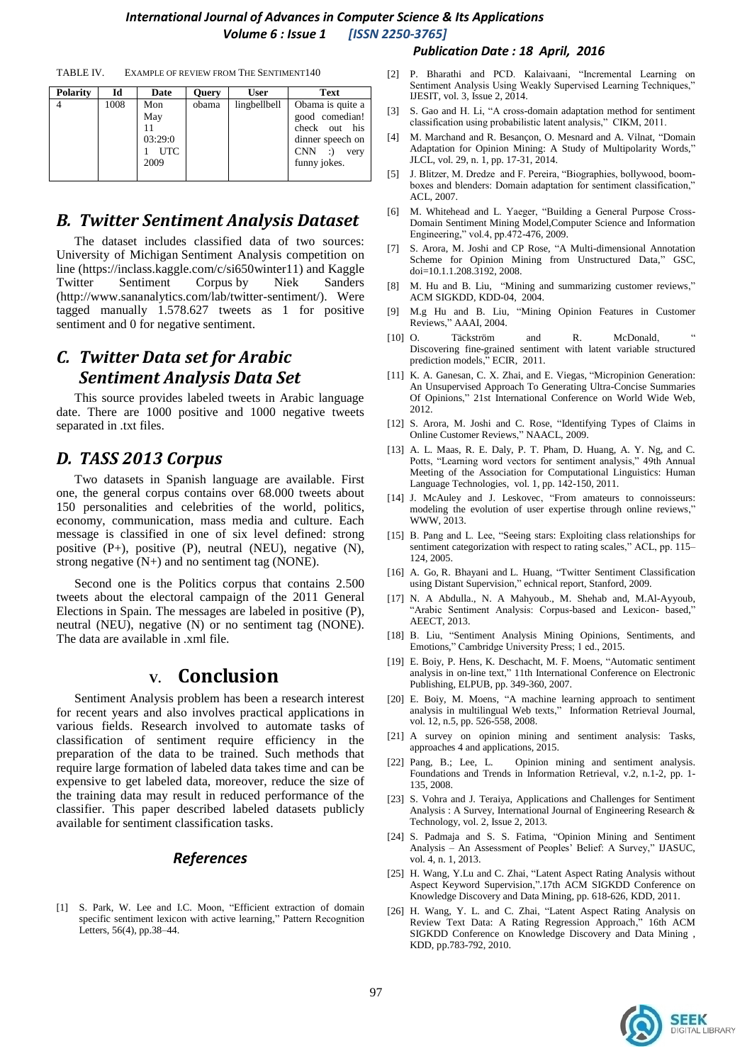TABLE IV. EXAMPLE OF REVIEW FROM THE SENTIMENT140

| <b>Polarity</b> | Id   | Date                                        | <b>Query</b> | <b>User</b>  | <b>Text</b>                                                                                                                 |
|-----------------|------|---------------------------------------------|--------------|--------------|-----------------------------------------------------------------------------------------------------------------------------|
|                 | 1008 | Mon<br>May<br>03:29:0<br><b>UTC</b><br>2009 | obama        | lingbellbell | Obama is quite a<br>good comedian!<br>check out his<br>dinner speech on<br><b>CNN</b><br>$\cdot$ :)<br>very<br>funny jokes. |

# *B. Twitter [Sentiment Analysis Dataset](http://thinknook.com/wp-content/uploads/2012/09/Sentiment-Analysis-Dataset.zip)*

The dataset includes classified data of two sources: University of Michigan [Sentiment Analysis competition on](file:///C:/Users/Anisha/AppData/Local/Temp/Sentiment%20Analysis%20competition%20on%20line%20(https:/inclass.kaggle.com/c/si650winter11)%20and%20Kaggle)  [line \(https://inclass.kaggle.com/c/si650winter11\) and Kaggle](file:///C:/Users/Anisha/AppData/Local/Temp/Sentiment%20Analysis%20competition%20on%20line%20(https:/inclass.kaggle.com/c/si650winter11)%20and%20Kaggle) [Twitter Sentiment Corpus](http://www.sananalytics.com/lab/twitter-sentiment/) by Niek Sanders (http://www.sananalytics.com/lab/twitter-sentiment/). Were tagged manually 1.578.627 tweets as 1 for positive sentiment and 0 for negative sentiment.

# *C. Twitter Data set for Arabic Sentiment Analysis Data Set*

This source provides labeled tweets in Arabic language date. There are 1000 positive and 1000 negative tweets separated in .txt files.

# *D. TASS 2013 Corpus*

Two datasets in Spanish language are available. First one, the general corpus contains over 68.000 tweets about 150 personalities and celebrities of the world, politics, economy, communication, mass media and culture. Each message is classified in one of six level defined: strong positive (P+), positive (P), neutral (NEU), negative (N), strong negative  $(N+)$  and no sentiment tag (NONE).

Second one is the Politics corpus that contains 2.500 tweets about the electoral campaign of the 2011 General Elections in Spain. The messages are labeled in positive (P), neutral (NEU), negative (N) or no sentiment tag (NONE). The data are available in .xml file.

# **V. Conclusion**

Sentiment Analysis problem has been a research interest for recent years and also involves practical applications in various fields. Research involved to automate tasks of classification of sentiment require efficiency in the preparation of the data to be trained. Such methods that require large formation of labeled data takes time and can be expensive to get labeled data, moreover, reduce the size of the training data may result in reduced performance of the classifier. This paper described labeled datasets publicly available for sentiment classification tasks.

#### *References*

[1] S. Park, W. Lee and I.C. Moon, "Efficient extraction of domain specific sentiment lexicon with active learning," Pattern Recognition Letters, 56(4), pp.38–44.

#### *Publication Date : 18 April, 2016*

- [2] P. Bharathi and PCD. Kalaivaani, "Incremental Learning on Sentiment Analysis Using Weakly Supervised Learning Techniques," IJESIT, vol. 3, Issue 2, 2014.
- [3] S. Gao and H. Li, "A cross-domain adaptation method for sentiment classification using probabilistic latent analysis," CIKM, 2011.
- [4] M. Marchand and R. Besançon, O. Mesnard and A. Vilnat, "Domain Adaptation for Opinion Mining: A Study of Multipolarity Words," JLCL, vol. 29, n. 1, pp. 17-31, 2014.
- [5] J. Blitzer, M. Dredze and F. Pereira, "Biographies, bollywood, boomboxes and blenders: Domain adaptation for sentiment classification," ACL, 2007.
- [6] M. Whitehead and L. Yaeger, "Building a General Purpose Cross-Domain Sentiment Mining Model,Computer Science and Information Engineering," vol.4, pp.472-476, 2009.
- [7] S. Arora, M. Joshi and CP Rose, "A Multi-dimensional Annotation Scheme for Opinion Mining from Unstructured Data," GSC, doi=10.1.1.208.3192, 2008.
- [8] M. Hu and B. Liu, "Mining and summarizing customer reviews," ACM SIGKDD, KDD-04, 2004.
- [9] M.g Hu and B. Liu, "Mining Opinion Features in Customer Reviews," AAAI, 2004.
- [10] O. Täckström and R. McDonald, Discovering fine-grained sentiment with latent variable structured prediction models," ECIR, 2011.
- [11] K. A. Ganesan, C. X. Zhai, and E. Viegas, "Micropinion Generation: An Unsupervised Approach To Generating Ultra-Concise Summaries Of Opinions," 21st International Conference on World Wide Web, 2012.
- [12] S. Arora, M. Joshi and C. Rose, "Identifying Types of Claims in Online Customer Reviews," NAACL, 2009.
- [13] A. L. Maas, R. E. Daly, P. T. Pham, D. Huang, A. Y. Ng, and C. Potts, "Learning word vectors for sentiment analysis," 49th Annual Meeting of the Association for Computational Linguistics: Human Language Technologies, vol. 1, pp. 142-150, 2011.
- [14] J. McAuley and J. Leskovec, ["From amateurs to connoisseurs:](http://i.stanford.edu/~julian/pdfs/www13.pdf)  [modeling the evolution of user expertise through online reviews,](http://i.stanford.edu/~julian/pdfs/www13.pdf)' WWW, 2013.
- [15] B. Pang and L. Lee, "Seeing stars: Exploiting class relationships for sentiment categorization with respect to rating scales," ACL, pp. 115– 124, 2005.
- [16] [A. Go,](http://www.bibsonomy.org/author/Go) [R. Bhayani](http://www.bibsonomy.org/author/Bhayani) and L. [Huang,](http://www.bibsonomy.org/author/Huang) "Twitter Sentiment Classification using Distant Supervision," echnical report, Stanford, 2009.
- [17] N. A Abdulla., N. A Mahyoub., M. Shehab and, M.Al-Ayyoub, "Arabic Sentiment Analysis: Corpus-based and Lexicon- based," AEECT, 2013.
- [18] B. Liu, "Sentiment Analysis Mining Opinions, Sentiments, and Emotions," Cambridge University Press; 1 ed., 2015.
- [19] E. Boiy, P. Hens, K. Deschacht, M. F. Moens, "Automatic sentiment analysis in on-line text," 11th International Conference on Electronic Publishing, ELPUB, pp. 349-360, 2007.
- [20] E. Boiy, M. Moens, "A machine learning approach to sentiment analysis in multilingual Web texts," Information Retrieval Journal, vol. 12, n.5, pp. 526-558, 2008.
- [21] A survey on opinion mining and sentiment analysis: Tasks, approaches 4 and applications, 2015.
- [22] Pang, B.; Lee, L. Opinion mining and sentiment analysis. Foundations and Trends in Information Retrieval, v.2, n.1-2, pp. 1- 135, 2008.
- [23] S. Vohra and J. Teraiya, Applications and Challenges for Sentiment Analysis : A Survey, International Journal of Engineering Research & Technology, vol. 2, Issue 2, 2013.
- [24] S. Padmaja and S. S. Fatima, "Opinion Mining and Sentiment Analysis – An Assessment of Peoples' Belief: A Survey," IJASUC, vol. 4, n. 1, 2013.
- [25] H. Wang, Y.Lu and C. Zhai, "Latent Aspect Rating Analysis without Aspect Keyword Supervision,".17th ACM SIGKDD Conference on Knowledge Discovery and Data Mining, pp. 618-626, KDD, 2011.
- [26] H. Wang, Y. L. and C. Zhai, "Latent Aspect Rating Analysis on Review Text Data: A Rating Regression Approach," 16th ACM SIGKDD Conference on Knowledge Discovery and Data Mining , KDD, pp.783-792, 2010.